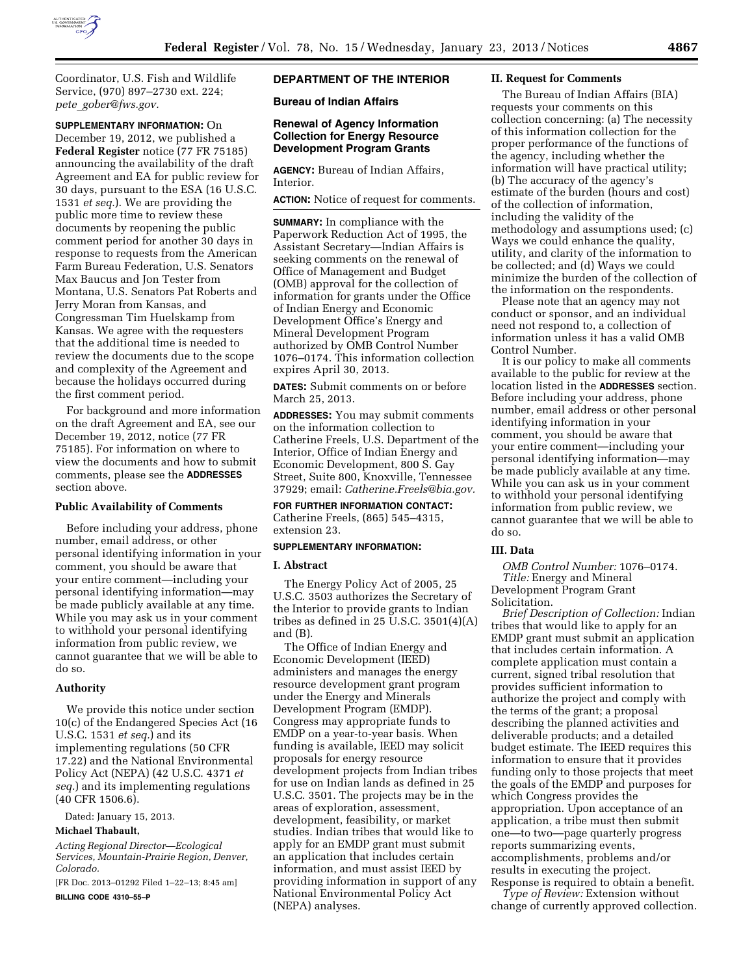

Coordinator, U.S. Fish and Wildlife Service, (970) 897–2730 ext. 224; *pete*\_*[gober@fws.gov.](mailto:pete_gober@fws.gov)* 

**SUPPLEMENTARY INFORMATION:** On December 19, 2012, we published a **Federal Register** notice (77 FR 75185) announcing the availability of the draft Agreement and EA for public review for 30 days, pursuant to the ESA (16 U.S.C. 1531 *et seq.*). We are providing the public more time to review these documents by reopening the public comment period for another 30 days in response to requests from the American Farm Bureau Federation, U.S. Senators Max Baucus and Jon Tester from Montana, U.S. Senators Pat Roberts and Jerry Moran from Kansas, and Congressman Tim Huelskamp from Kansas. We agree with the requesters that the additional time is needed to review the documents due to the scope and complexity of the Agreement and because the holidays occurred during the first comment period.

For background and more information on the draft Agreement and EA, see our December 19, 2012, notice (77 FR 75185). For information on where to view the documents and how to submit comments, please see the **ADDRESSES** section above.

### **Public Availability of Comments**

Before including your address, phone number, email address, or other personal identifying information in your comment, you should be aware that your entire comment—including your personal identifying information—may be made publicly available at any time. While you may ask us in your comment to withhold your personal identifying information from public review, we cannot guarantee that we will be able to do so.

### **Authority**

We provide this notice under section 10(c) of the Endangered Species Act (16 U.S.C. 1531 *et seq.*) and its implementing regulations (50 CFR 17.22) and the National Environmental Policy Act (NEPA) (42 U.S.C. 4371 *et seq.*) and its implementing regulations (40 CFR 1506.6).

Dated: January 15, 2013.

## **Michael Thabault,**

*Acting Regional Director—Ecological Services, Mountain-Prairie Region, Denver, Colorado.* 

[FR Doc. 2013–01292 Filed 1–22–13; 8:45 am]

**BILLING CODE 4310–55–P** 

# **DEPARTMENT OF THE INTERIOR**

**Bureau of Indian Affairs** 

### **Renewal of Agency Information Collection for Energy Resource Development Program Grants**

**AGENCY:** Bureau of Indian Affairs, Interior.

**ACTION:** Notice of request for comments.

**SUMMARY:** In compliance with the Paperwork Reduction Act of 1995, the Assistant Secretary—Indian Affairs is seeking comments on the renewal of Office of Management and Budget (OMB) approval for the collection of information for grants under the Office of Indian Energy and Economic Development Office's Energy and Mineral Development Program authorized by OMB Control Number 1076–0174. This information collection expires April 30, 2013.

**DATES:** Submit comments on or before March 25, 2013.

**ADDRESSES:** You may submit comments on the information collection to Catherine Freels, U.S. Department of the Interior, Office of Indian Energy and Economic Development, 800 S. Gay Street, Suite 800, Knoxville, Tennessee 37929; email: *[Catherine.Freels@bia.gov.](mailto:Catherine.Freels@bia.gov)* 

**FOR FURTHER INFORMATION CONTACT:**  Catherine Freels, (865) 545–4315, extension 23.

# **SUPPLEMENTARY INFORMATION:**

#### **I. Abstract**

The Energy Policy Act of 2005, 25 U.S.C. 3503 authorizes the Secretary of the Interior to provide grants to Indian tribes as defined in  $25$  U.S.C. 3501(4)(A) and (B).

The Office of Indian Energy and Economic Development (IEED) administers and manages the energy resource development grant program under the Energy and Minerals Development Program (EMDP). Congress may appropriate funds to EMDP on a year-to-year basis. When funding is available, IEED may solicit proposals for energy resource development projects from Indian tribes for use on Indian lands as defined in 25 U.S.C. 3501. The projects may be in the areas of exploration, assessment, development, feasibility, or market studies. Indian tribes that would like to apply for an EMDP grant must submit an application that includes certain information, and must assist IEED by providing information in support of any National Environmental Policy Act (NEPA) analyses.

#### **II. Request for Comments**

The Bureau of Indian Affairs (BIA) requests your comments on this collection concerning: (a) The necessity of this information collection for the proper performance of the functions of the agency, including whether the information will have practical utility; (b) The accuracy of the agency's estimate of the burden (hours and cost) of the collection of information, including the validity of the methodology and assumptions used; (c) Ways we could enhance the quality, utility, and clarity of the information to be collected; and (d) Ways we could minimize the burden of the collection of the information on the respondents.

Please note that an agency may not conduct or sponsor, and an individual need not respond to, a collection of information unless it has a valid OMB Control Number.

It is our policy to make all comments available to the public for review at the location listed in the **ADDRESSES** section. Before including your address, phone number, email address or other personal identifying information in your comment, you should be aware that your entire comment—including your personal identifying information—may be made publicly available at any time. While you can ask us in your comment to withhold your personal identifying information from public review, we cannot guarantee that we will be able to do so.

### **III. Data**

*OMB Control Number:* 1076–0174. *Title:* Energy and Mineral Development Program Grant Solicitation.

*Brief Description of Collection:* Indian tribes that would like to apply for an EMDP grant must submit an application that includes certain information. A complete application must contain a current, signed tribal resolution that provides sufficient information to authorize the project and comply with the terms of the grant; a proposal describing the planned activities and deliverable products; and a detailed budget estimate. The IEED requires this information to ensure that it provides funding only to those projects that meet the goals of the EMDP and purposes for which Congress provides the appropriation. Upon acceptance of an application, a tribe must then submit one—to two—page quarterly progress reports summarizing events, accomplishments, problems and/or results in executing the project. Response is required to obtain a benefit.

*Type of Review:* Extension without change of currently approved collection.